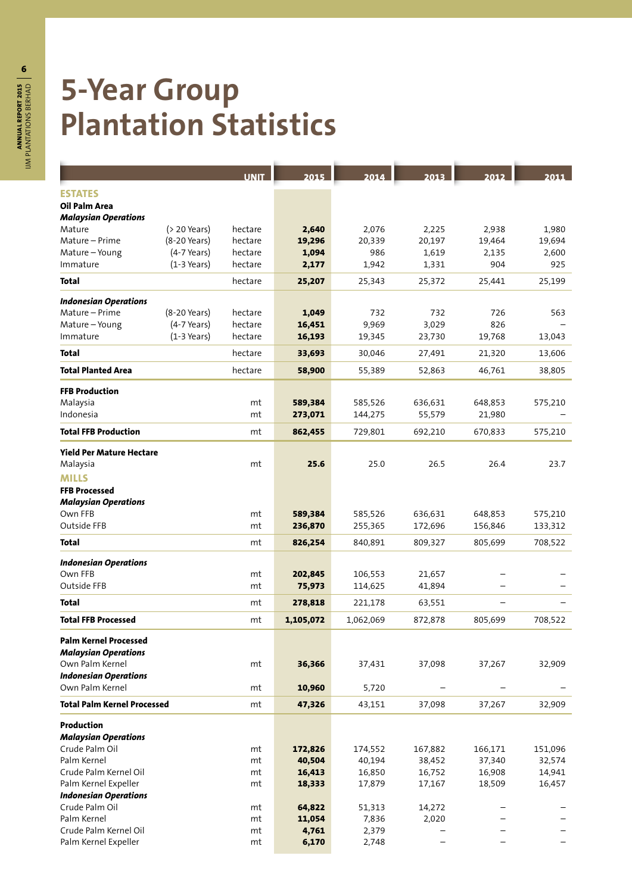## **5-Year Group Plantation Statistics**

|                                    |                 | <b>UNIT</b> | 2015      | 2014      | 2013    | 2012    | 2011    |
|------------------------------------|-----------------|-------------|-----------|-----------|---------|---------|---------|
| <b>ESTATES</b>                     |                 |             |           |           |         |         |         |
| Oil Palm Area                      |                 |             |           |           |         |         |         |
| <b>Malaysian Operations</b>        |                 |             |           |           |         |         |         |
| Mature                             | $( > 20$ Years) | hectare     | 2,640     | 2,076     | 2,225   | 2,938   | 1,980   |
| Mature – Prime                     | (8-20 Years)    | hectare     | 19,296    | 20,339    | 20,197  | 19,464  | 19,694  |
| Mature-Young                       | $(4-7$ Years)   | hectare     | 1,094     | 986       | 1,619   | 2,135   | 2,600   |
| Immature                           | $(1-3$ Years)   | hectare     | 2,177     | 1,942     | 1,331   | 904     | 925     |
| <b>Total</b>                       |                 | hectare     | 25,207    | 25,343    | 25,372  | 25,441  | 25,199  |
| <b>Indonesian Operations</b>       |                 |             |           |           |         |         |         |
| Mature - Prime                     | (8-20 Years)    | hectare     | 1,049     | 732       | 732     | 726     | 563     |
| Mature-Young                       | $(4-7$ Years)   | hectare     | 16,451    | 9,969     | 3,029   | 826     |         |
| Immature                           | $(1-3$ Years)   | hectare     | 16,193    | 19,345    | 23,730  | 19,768  | 13,043  |
| Total                              |                 | hectare     | 33,693    |           |         |         |         |
|                                    |                 |             |           | 30,046    | 27,491  | 21,320  | 13,606  |
| <b>Total Planted Area</b>          |                 | hectare     | 58,900    | 55,389    | 52,863  | 46,761  | 38,805  |
| <b>FFB Production</b>              |                 |             |           |           |         |         |         |
| Malaysia                           |                 | mt          | 589,384   | 585,526   | 636,631 | 648,853 | 575,210 |
| Indonesia                          |                 | mt          | 273,071   | 144,275   | 55,579  | 21,980  |         |
| <b>Total FFB Production</b>        |                 | mt          | 862,455   | 729,801   | 692,210 | 670,833 | 575,210 |
|                                    |                 |             |           |           |         |         |         |
| <b>Yield Per Mature Hectare</b>    |                 |             |           |           |         |         |         |
| Malaysia                           |                 | mt          | 25.6      | 25.0      | 26.5    | 26.4    | 23.7    |
| <b>MILLS</b>                       |                 |             |           |           |         |         |         |
| <b>FFB Processed</b>               |                 |             |           |           |         |         |         |
| <b>Malaysian Operations</b>        |                 |             |           |           |         |         |         |
| Own FFB                            |                 | mt          | 589,384   | 585,526   | 636,631 | 648,853 | 575,210 |
| Outside FFB                        |                 | mt          | 236,870   | 255,365   | 172,696 | 156,846 | 133,312 |
| Total                              |                 | mt          | 826,254   | 840,891   | 809,327 | 805,699 | 708,522 |
| <b>Indonesian Operations</b>       |                 |             |           |           |         |         |         |
| Own FFB                            |                 | mt          | 202,845   | 106,553   | 21,657  |         |         |
| Outside FFB                        |                 | mt          | 75,973    | 114,625   | 41,894  |         |         |
| Total                              |                 | mt          | 278,818   | 221,178   | 63,551  | -       |         |
| <b>Total FFB Processed</b>         |                 | mt          | 1,105,072 | 1,062,069 | 872,878 | 805,699 | 708,522 |
| <b>Palm Kernel Processed</b>       |                 |             |           |           |         |         |         |
| <b>Malaysian Operations</b>        |                 |             |           |           |         |         |         |
| Own Palm Kernel                    |                 | mt          | 36,366    | 37,431    | 37,098  | 37,267  | 32,909  |
| <b>Indonesian Operations</b>       |                 |             |           |           |         |         |         |
| Own Palm Kernel                    |                 | mt          | 10,960    | 5,720     |         |         |         |
| <b>Total Palm Kernel Processed</b> |                 | mt          | 47,326    | 43,151    | 37,098  | 37,267  | 32,909  |
| <b>Production</b>                  |                 |             |           |           |         |         |         |
| <b>Malaysian Operations</b>        |                 |             |           |           |         |         |         |
| Crude Palm Oil                     |                 | mt          | 172,826   | 174,552   | 167,882 | 166,171 | 151,096 |
| Palm Kernel                        |                 | mt          | 40,504    | 40,194    | 38,452  | 37,340  | 32,574  |
| Crude Palm Kernel Oil              |                 | mt          | 16,413    | 16,850    | 16,752  | 16,908  | 14,941  |
| Palm Kernel Expeller               |                 | mt          | 18,333    | 17,879    | 17,167  | 18,509  | 16,457  |
| <b>Indonesian Operations</b>       |                 |             |           |           |         |         |         |
| Crude Palm Oil                     |                 | mt          | 64,822    | 51,313    | 14,272  |         |         |
| Palm Kernel                        |                 | mt          | 11,054    | 7,836     | 2,020   |         |         |
| Crude Palm Kernel Oil              |                 | mt          | 4,761     | 2,379     |         |         |         |
| Palm Kernel Expeller               |                 | mt          | 6,170     | 2,748     |         |         |         |